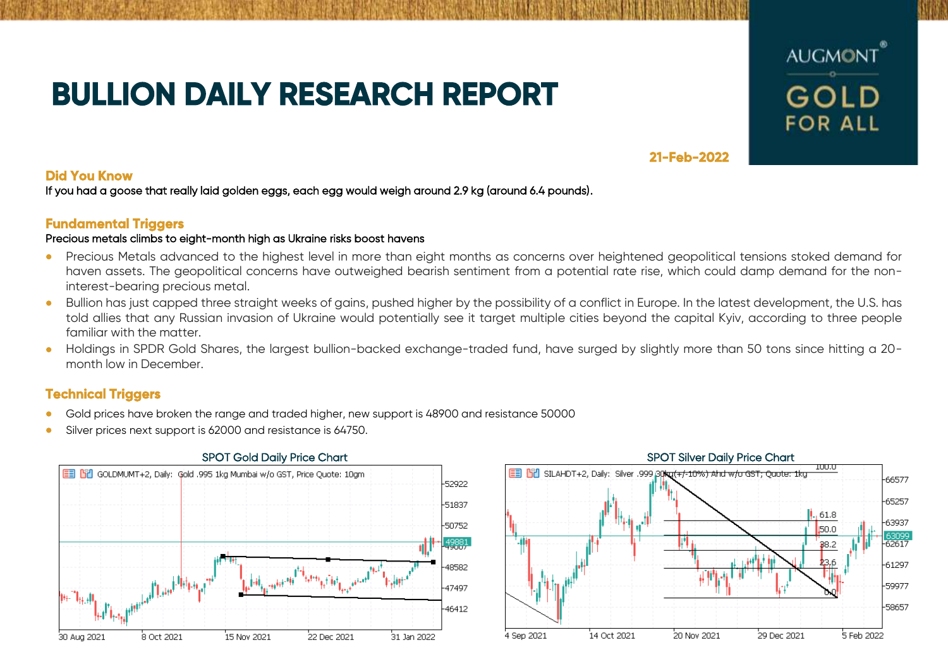# **BULLION DAILY RESEARCH REPORT**



# **21-Feb-2022**

# **Did You Know**

If you had a goose that really laid golden eggs, each egg would weigh around 2.9 kg (around 6.4 pounds).

# **Fundamental Triggers**

## Precious metals climbs to eight-month high as Ukraine risks boost havens

- Precious Metals advanced to the highest level in more than eight months as concerns over heightened geopolitical tensions stoked demand for haven assets. The geopolitical concerns have outweighed bearish sentiment from a potential rate rise, which could damp demand for the noninterest-bearing precious metal.
- Bullion has just capped three straight weeks of gains, pushed higher by the possibility of a conflict in Europe. In the latest development, the U.S. has told allies that any Russian invasion of Ukraine would potentially see it target multiple cities beyond the capital Kyiv, according to three people familiar with the matter.
- Holdings in SPDR Gold Shares, the largest bullion-backed exchange-traded fund, have surged by slightly more than 50 tons since hitting a 20 month low in December.

# **Technical Triggers**

- Gold prices have broken the range and traded higher, new support is 48900 and resistance 50000
- Silver prices next support is 62000 and resistance is 64750.